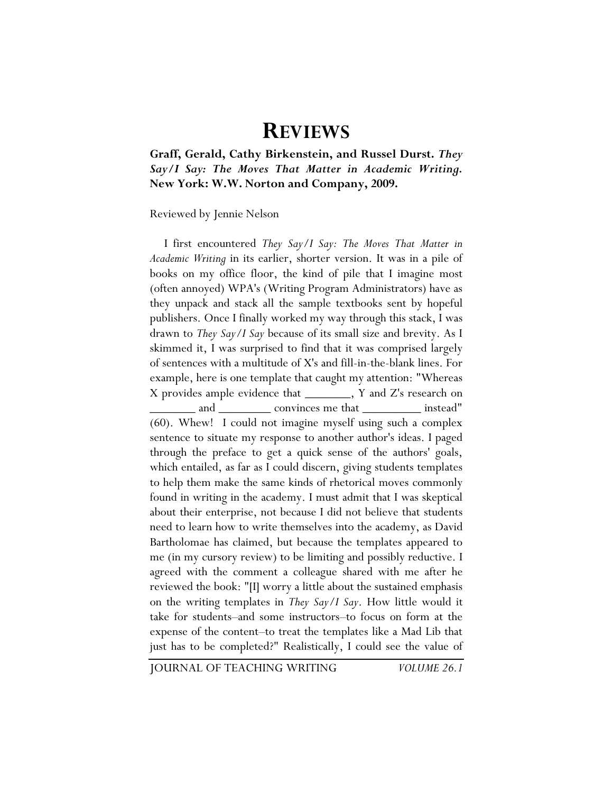## **REVIEWS**

**Graff, Gerald, Cathy Birkenstein, and Russel Durst.** *They Say/I Say: The Moves That Matter in Academic Writing.*  **New York: W.W. Norton and Company, 2009.** 

Reviewed by Jennie Nelson

I first encountered *They Say/I Say: The Moves That Matter in Academic Writing* in its earlier, shorter version. It was in a pile of books on my office floor, the kind of pile that I imagine most (often annoyed) WPA's (Writing Program Administrators) have as they unpack and stack all the sample textbooks sent by hopeful publishers. Once I finally worked my way through this stack, I was drawn to *They Say/I Say* because of its small size and brevity. As I skimmed it, I was surprised to find that it was comprised largely of sentences with a multitude of X's and fill-in-the-blank lines. For example, here is one template that caught my attention: "Whereas X provides ample evidence that \_\_\_\_\_\_\_, Y and Z's research on and \_\_\_\_\_\_\_\_\_ convinces me that \_\_\_\_\_\_\_\_\_\_ instead" (60). Whew! I could not imagine myself using such a complex sentence to situate my response to another author's ideas. I paged through the preface to get a quick sense of the authors' goals, which entailed, as far as I could discern, giving students templates to help them make the same kinds of rhetorical moves commonly found in writing in the academy. I must admit that I was skeptical about their enterprise, not because I did not believe that students need to learn how to write themselves into the academy, as David Bartholomae has claimed, but because the templates appeared to me (in my cursory review) to be limiting and possibly reductive. I agreed with the comment a colleague shared with me after he reviewed the book: "[I] worry a little about the sustained emphasis on the writing templates in *They Say/I Say*. How little would it take for students–and some instructors–to focus on form at the expense of the content–to treat the templates like a Mad Lib that just has to be completed?" Realistically, I could see the value of

JOURNAL OF TEACHING WRITING *VOLUME 26.1*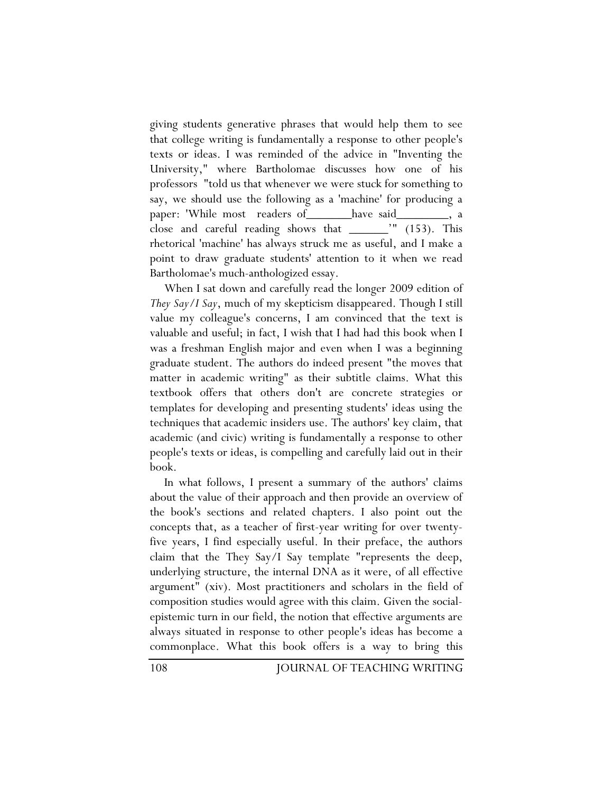giving students generative phrases that would help them to see that college writing is fundamentally a response to other people's texts or ideas. I was reminded of the advice in "Inventing the University," where Bartholomae discusses how one of his professors "told us that whenever we were stuck for something to say, we should use the following as a 'machine' for producing a paper: 'While most readers of have said close and careful reading shows that \_\_\_\_\_\_'" (153). This rhetorical 'machine' has always struck me as useful, and I make a point to draw graduate students' attention to it when we read Bartholomae's much-anthologized essay.

When I sat down and carefully read the longer 2009 edition of *They Say/I Say*, much of my skepticism disappeared. Though I still value my colleague's concerns, I am convinced that the text is valuable and useful; in fact, I wish that I had had this book when I was a freshman English major and even when I was a beginning graduate student. The authors do indeed present "the moves that matter in academic writing" as their subtitle claims. What this textbook offers that others don't are concrete strategies or templates for developing and presenting students' ideas using the techniques that academic insiders use. The authors' key claim, that academic (and civic) writing is fundamentally a response to other people's texts or ideas, is compelling and carefully laid out in their book.

In what follows, I present a summary of the authors' claims about the value of their approach and then provide an overview of the book's sections and related chapters. I also point out the concepts that, as a teacher of first-year writing for over twentyfive years, I find especially useful. In their preface, the authors claim that the They Say/I Say template "represents the deep, underlying structure, the internal DNA as it were, of all effective argument" (xiv). Most practitioners and scholars in the field of composition studies would agree with this claim. Given the socialepistemic turn in our field, the notion that effective arguments are always situated in response to other people's ideas has become a commonplace. What this book offers is a way to bring this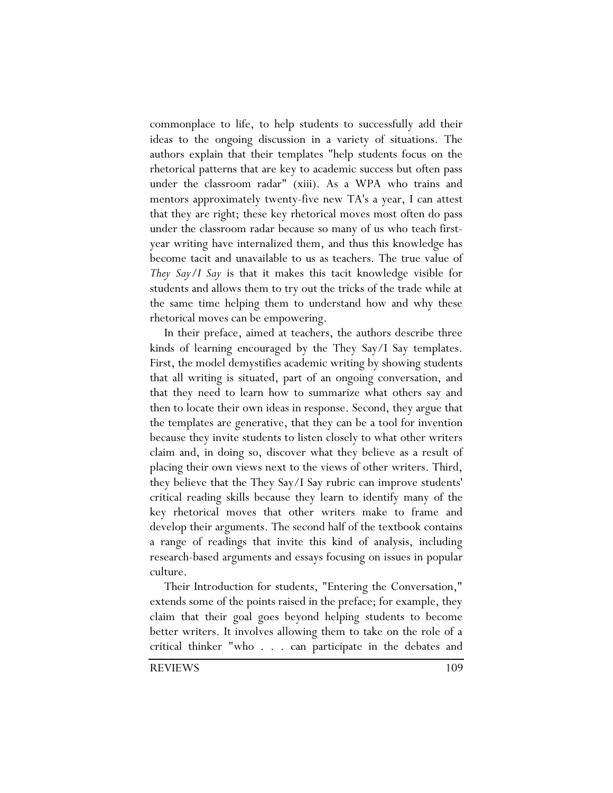commonplace to life, to help students to successfully add their ideas to the ongoing discussion in a variety of situations. The authors explain that their templates "help students focus on the rhetorical patterns that are key to academic success but often pass under the classroom radar" (xiii). As a WPA who trains and mentors approximately twenty-five new TA's a year, I can attest that they are right; these key rhetorical moves most often do pass under the classroom radar because so many of us who teach firstyear writing have internalized them, and thus this knowledge has become tacit and unavailable to us as teachers. The true value of *They Say/I Say* is that it makes this tacit knowledge visible for students and allows them to try out the tricks of the trade while at the same time helping them to understand how and why these rhetorical moves can be empowering.

In their preface, aimed at teachers, the authors describe three kinds of learning encouraged by the They Say/I Say templates. First, the model demystifies academic writing by showing students that all writing is situated, part of an ongoing conversation, and that they need to learn how to summarize what others say and then to locate their own ideas in response. Second, they argue that the templates are generative, that they can be a tool for invention because they invite students to listen closely to what other writers claim and, in doing so, discover what they believe as a result of placing their own views next to the views of other writers. Third, they believe that the They Say/I Say rubric can improve students' critical reading skills because they learn to identify many of the key rhetorical moves that other writers make to frame and develop their arguments. The second half of the textbook contains a range of readings that invite this kind of analysis, including research-based arguments and essays focusing on issues in popular culture.

Their Introduction for students, "Entering the Conversation," extends some of the points raised in the preface; for example, they claim that their goal goes beyond helping students to become better writers. It involves allowing them to take on the role of a critical thinker "who . . . can participate in the debates and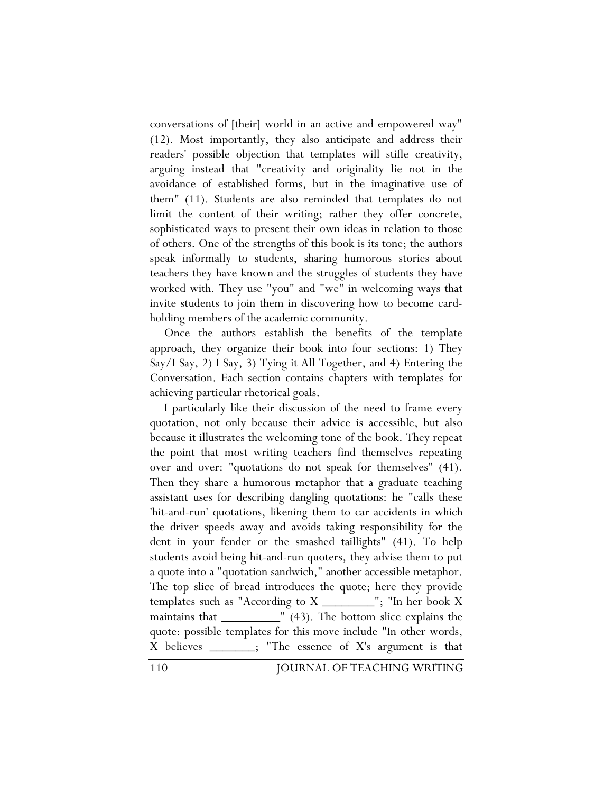conversations of [their] world in an active and empowered way" (12). Most importantly, they also anticipate and address their readers' possible objection that templates will stifle creativity, arguing instead that "creativity and originality lie not in the avoidance of established forms, but in the imaginative use of them" (11). Students are also reminded that templates do not limit the content of their writing; rather they offer concrete, sophisticated ways to present their own ideas in relation to those of others. One of the strengths of this book is its tone; the authors speak informally to students, sharing humorous stories about teachers they have known and the struggles of students they have worked with. They use "you" and "we" in welcoming ways that invite students to join them in discovering how to become cardholding members of the academic community.

Once the authors establish the benefits of the template approach, they organize their book into four sections: 1) They Say/I Say, 2) I Say, 3) Tying it All Together, and 4) Entering the Conversation. Each section contains chapters with templates for achieving particular rhetorical goals.

I particularly like their discussion of the need to frame every quotation, not only because their advice is accessible, but also because it illustrates the welcoming tone of the book. They repeat the point that most writing teachers find themselves repeating over and over: "quotations do not speak for themselves" (41). Then they share a humorous metaphor that a graduate teaching assistant uses for describing dangling quotations: he "calls these 'hit-and-run' quotations, likening them to car accidents in which the driver speeds away and avoids taking responsibility for the dent in your fender or the smashed taillights" (41). To help students avoid being hit-and-run quoters, they advise them to put a quote into a "quotation sandwich," another accessible metaphor. The top slice of bread introduces the quote; here they provide templates such as "According to X \_\_\_\_\_\_\_\_"; "In her book X maintains that \_\_\_\_\_\_\_\_\_\_\_" (43). The bottom slice explains the quote: possible templates for this move include "In other words, X believes \_\_\_\_\_\_\_; "The essence of X's argument is that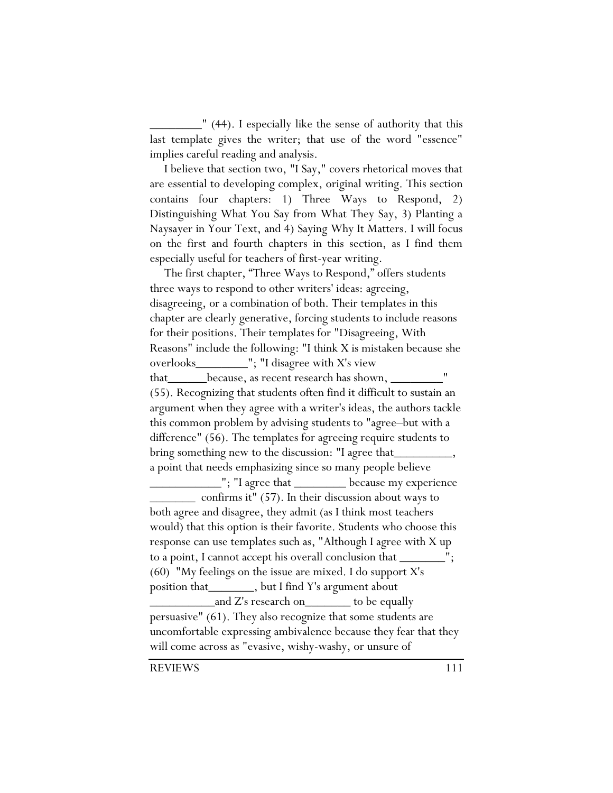$\frac{1}{2}$  (44). I especially like the sense of authority that this last template gives the writer; that use of the word "essence" implies careful reading and analysis.

I believe that section two, "I Say," covers rhetorical moves that are essential to developing complex, original writing. This section contains four chapters: 1) Three Ways to Respond, 2) Distinguishing What You Say from What They Say, 3) Planting a Naysayer in Your Text, and 4) Saying Why It Matters. I will focus on the first and fourth chapters in this section, as I find them especially useful for teachers of first-year writing.

The first chapter, "Three Ways to Respond," offers students three ways to respond to other writers' ideas: agreeing, disagreeing, or a combination of both. Their templates in this chapter are clearly generative, forcing students to include reasons for their positions. Their templates for "Disagreeing, With Reasons" include the following: "I think X is mistaken because she overlooks\_\_\_\_\_\_\_\_"; "I disagree with X's view that\_\_\_\_\_\_because, as recent research has shown, \_\_\_\_\_\_\_\_" (55). Recognizing that students often find it difficult to sustain an argument when they agree with a writer's ideas, the authors tackle this common problem by advising students to "agree–but with a difference" (56). The templates for agreeing require students to bring something new to the discussion: "I agree that a point that needs emphasizing since so many people believe \_\_\_\_\_\_\_\_\_\_\_"; "I agree that \_\_\_\_\_\_\_\_ because my experience \_\_\_\_\_\_\_ confirms it" (57). In their discussion about ways to both agree and disagree, they admit (as I think most teachers would) that this option is their favorite. Students who choose this response can use templates such as, "Although I agree with X up to a point, I cannot accept his overall conclusion that  $\equiv$ (60) "My feelings on the issue are mixed. I do support X's position that\_\_\_\_\_\_\_, but I find Y's argument about and Z's research on to be equally persuasive" (61). They also recognize that some students are uncomfortable expressing ambivalence because they fear that they will come across as "evasive, wishy-washy, or unsure of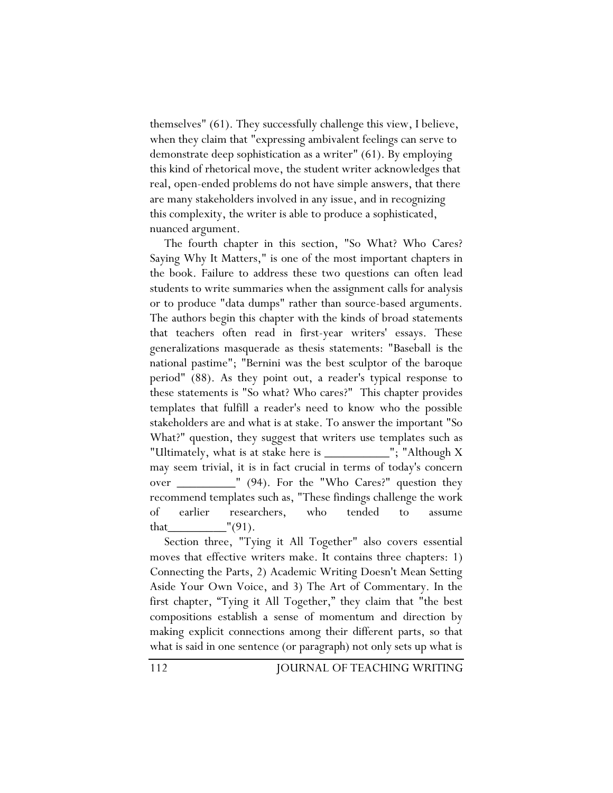themselves" (61). They successfully challenge this view, I believe, when they claim that "expressing ambivalent feelings can serve to demonstrate deep sophistication as a writer" (61). By employing this kind of rhetorical move, the student writer acknowledges that real, open-ended problems do not have simple answers, that there are many stakeholders involved in any issue, and in recognizing this complexity, the writer is able to produce a sophisticated, nuanced argument.

The fourth chapter in this section, "So What? Who Cares? Saying Why It Matters," is one of the most important chapters in the book. Failure to address these two questions can often lead students to write summaries when the assignment calls for analysis or to produce "data dumps" rather than source-based arguments. The authors begin this chapter with the kinds of broad statements that teachers often read in first-year writers' essays. These generalizations masquerade as thesis statements: "Baseball is the national pastime"; "Bernini was the best sculptor of the baroque period" (88). As they point out, a reader's typical response to these statements is "So what? Who cares?" This chapter provides templates that fulfill a reader's need to know who the possible stakeholders are and what is at stake. To answer the important "So What?" question, they suggest that writers use templates such as "Ultimately, what is at stake here is \_\_\_\_\_\_\_\_\_\_"; "Although X may seem trivial, it is in fact crucial in terms of today's concern over \_\_\_\_\_\_\_\_\_" (94). For the "Who Cares?" question they recommend templates such as, "These findings challenge the work of earlier researchers, who tended to assume that\_\_\_\_\_\_\_\_\_"(91).

Section three, "Tying it All Together" also covers essential moves that effective writers make. It contains three chapters: 1) Connecting the Parts, 2) Academic Writing Doesn't Mean Setting Aside Your Own Voice, and 3) The Art of Commentary. In the first chapter, "Tying it All Together," they claim that "the best compositions establish a sense of momentum and direction by making explicit connections among their different parts, so that what is said in one sentence (or paragraph) not only sets up what is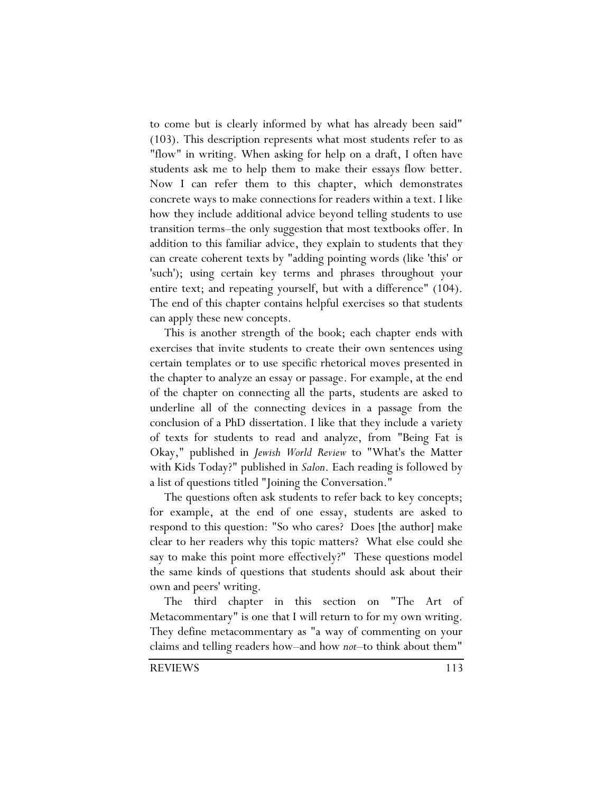to come but is clearly informed by what has already been said" (103). This description represents what most students refer to as "flow" in writing. When asking for help on a draft, I often have students ask me to help them to make their essays flow better. Now I can refer them to this chapter, which demonstrates concrete ways to make connections for readers within a text. I like how they include additional advice beyond telling students to use transition terms–the only suggestion that most textbooks offer. In addition to this familiar advice, they explain to students that they can create coherent texts by "adding pointing words (like 'this' or 'such'); using certain key terms and phrases throughout your entire text; and repeating yourself, but with a difference" (104). The end of this chapter contains helpful exercises so that students can apply these new concepts.

This is another strength of the book; each chapter ends with exercises that invite students to create their own sentences using certain templates or to use specific rhetorical moves presented in the chapter to analyze an essay or passage. For example, at the end of the chapter on connecting all the parts, students are asked to underline all of the connecting devices in a passage from the conclusion of a PhD dissertation. I like that they include a variety of texts for students to read and analyze, from "Being Fat is Okay," published in *Jewish World Review* to "What's the Matter with Kids Today?" published in *Salon*. Each reading is followed by a list of questions titled "Joining the Conversation."

The questions often ask students to refer back to key concepts; for example, at the end of one essay, students are asked to respond to this question: "So who cares? Does [the author] make clear to her readers why this topic matters? What else could she say to make this point more effectively?" These questions model the same kinds of questions that students should ask about their own and peers' writing.

The third chapter in this section on "The Art of Metacommentary" is one that I will return to for my own writing. They define metacommentary as "a way of commenting on your claims and telling readers how–and how *not*–to think about them"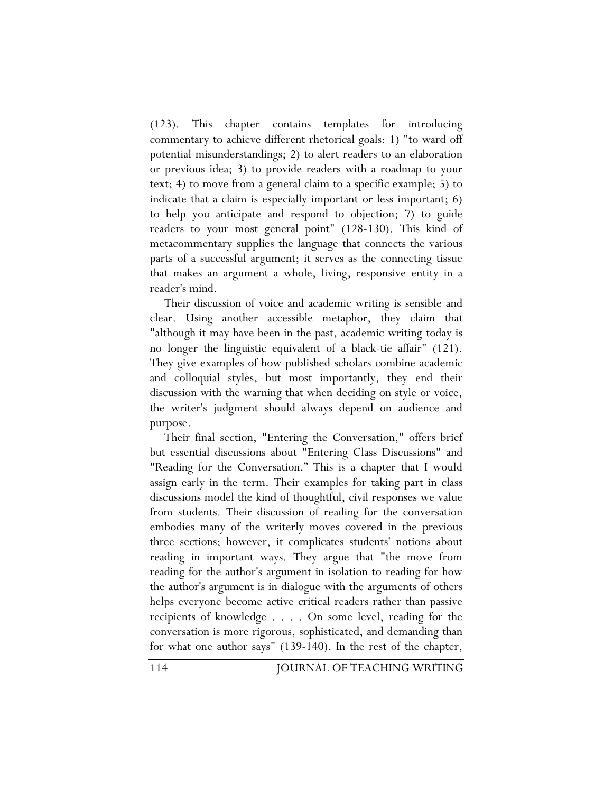(123). This chapter contains templates for introducing commentary to achieve different rhetorical goals: 1) "to ward off potential misunderstandings; 2) to alert readers to an elaboration or previous idea; 3) to provide readers with a roadmap to your text; 4) to move from a general claim to a specific example; 5) to indicate that a claim is especially important or less important; 6) to help you anticipate and respond to objection; 7) to guide readers to your most general point" (128-130). This kind of metacommentary supplies the language that connects the various parts of a successful argument; it serves as the connecting tissue that makes an argument a whole, living, responsive entity in a reader's mind.

Their discussion of voice and academic writing is sensible and clear. Using another accessible metaphor, they claim that "although it may have been in the past, academic writing today is no longer the linguistic equivalent of a black-tie affair" (121). They give examples of how published scholars combine academic and colloquial styles, but most importantly, they end their discussion with the warning that when deciding on style or voice, the writer's judgment should always depend on audience and purpose.

Their final section, "Entering the Conversation," offers brief but essential discussions about "Entering Class Discussions" and "Reading for the Conversation." This is a chapter that I would assign early in the term. Their examples for taking part in class discussions model the kind of thoughtful, civil responses we value from students. Their discussion of reading for the conversation embodies many of the writerly moves covered in the previous three sections; however, it complicates students' notions about reading in important ways. They argue that "the move from reading for the author's argument in isolation to reading for how the author's argument is in dialogue with the arguments of others helps everyone become active critical readers rather than passive recipients of knowledge . . . . On some level, reading for the conversation is more rigorous, sophisticated, and demanding than for what one author says" (139-140). In the rest of the chapter,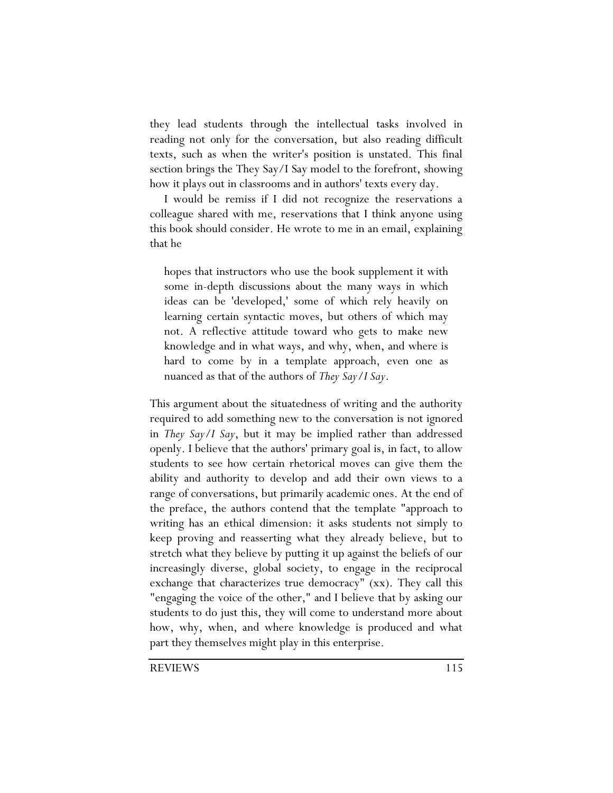they lead students through the intellectual tasks involved in reading not only for the conversation, but also reading difficult texts, such as when the writer's position is unstated. This final section brings the They Say/I Say model to the forefront, showing how it plays out in classrooms and in authors' texts every day.

I would be remiss if I did not recognize the reservations a colleague shared with me, reservations that I think anyone using this book should consider. He wrote to me in an email, explaining that he

hopes that instructors who use the book supplement it with some in-depth discussions about the many ways in which ideas can be 'developed,' some of which rely heavily on learning certain syntactic moves, but others of which may not. A reflective attitude toward who gets to make new knowledge and in what ways, and why, when, and where is hard to come by in a template approach, even one as nuanced as that of the authors of *They Say/I Say*.

This argument about the situatedness of writing and the authority required to add something new to the conversation is not ignored in *They Say/I Say*, but it may be implied rather than addressed openly. I believe that the authors' primary goal is, in fact, to allow students to see how certain rhetorical moves can give them the ability and authority to develop and add their own views to a range of conversations, but primarily academic ones. At the end of the preface, the authors contend that the template "approach to writing has an ethical dimension: it asks students not simply to keep proving and reasserting what they already believe, but to stretch what they believe by putting it up against the beliefs of our increasingly diverse, global society, to engage in the reciprocal exchange that characterizes true democracy" (xx). They call this "engaging the voice of the other," and I believe that by asking our students to do just this, they will come to understand more about how, why, when, and where knowledge is produced and what part they themselves might play in this enterprise.